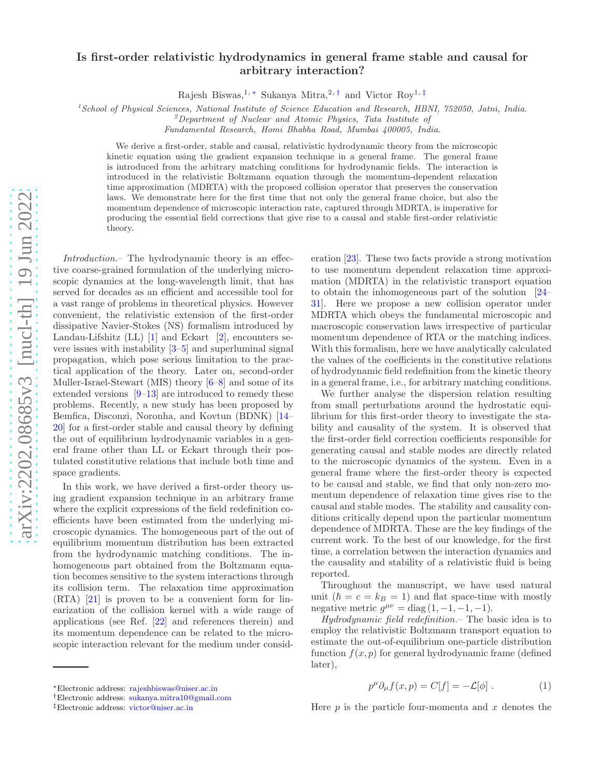## arXiv:2202.08685v3 [nucl-th] 19 Jun 2022 [arXiv:2202.08685v3 \[nucl-th\] 19 Jun 2022](http://arxiv.org/abs/2202.08685v3)

## Is first-order relativistic hydrodynamics in general frame stable and causal for arbitrary interaction?

Rajesh Biswas,<sup>1, \*</sup> Sukanya Mitra,<sup>2,[†](#page-0-1)</sup> and Victor Roy<sup>1,[‡](#page-0-2)</sup>

 $1$ School of Physical Sciences, National Institute of Science Education and Research, HBNI, 752050, Jatni, India.

 ${}^{2}$ Department of Nuclear and Atomic Physics, Tata Institute of

Fundamental Research, Homi Bhabha Road, Mumbai 400005, India.

We derive a first-order, stable and causal, relativistic hydrodynamic theory from the microscopic kinetic equation using the gradient expansion technique in a general frame. The general frame is introduced from the arbitrary matching conditions for hydrodynamic fields. The interaction is introduced in the relativistic Boltzmann equation through the momentum-dependent relaxation time approximation (MDRTA) with the proposed collision operator that preserves the conservation laws. We demonstrate here for the first time that not only the general frame choice, but also the momentum dependence of microscopic interaction rate, captured through MDRTA, is imperative for producing the essential field corrections that give rise to a causal and stable first-order relativistic theory.

Introduction.– The hydrodynamic theory is an effective coarse-grained formulation of the underlying microscopic dynamics at the long-wavelength limit, that has served for decades as an efficient and accessible tool for a vast range of problems in theoretical physics. However convenient, the relativistic extension of the first-order dissipative Navier-Stokes (NS) formalism introduced by Landau-Lifshitz  $(LL)$  [\[1](#page-5-0)] and Eckart [\[2](#page-5-1)], encounters severe issues with instability  $[3-5]$  and superluminal signal propagation, which pose serious limitation to the practical application of the theory. Later on, second-order Muller-Israel-Stewart (MIS) theory [\[6](#page-5-4)[–8\]](#page-5-5) and some of its extended versions  $[9-13]$  are introduced to remedy these problems. Recently, a new study has been proposed by Bemfica, Disconzi, Noronha, and Kovtun (BDNK) [\[14](#page-5-8)– [20\]](#page-5-9) for a first-order stable and causal theory by defining the out of equilibrium hydrodynamic variables in a general frame other than LL or Eckart through their postulated constitutive relations that include both time and space gradients.

In this work, we have derived a first-order theory using gradient expansion technique in an arbitrary frame where the explicit expressions of the field redefinition coefficients have been estimated from the underlying microscopic dynamics. The homogeneous part of the out of equilibrium momentum distribution has been extracted from the hydrodynamic matching conditions. The inhomogeneous part obtained from the Boltzmann equation becomes sensitive to the system interactions through its collision term. The relaxation time approximation (RTA) [\[21\]](#page-5-10) is proven to be a convenient form for linearization of the collision kernel with a wide range of applications (see Ref. [\[22\]](#page-5-11) and references therein) and its momentum dependence can be related to the microscopic interaction relevant for the medium under consid-

eration [\[23](#page-5-12)]. These two facts provide a strong motivation to use momentum dependent relaxation time approximation (MDRTA) in the relativistic transport equation to obtain the inhomogeneous part of the solution [\[24](#page-5-13)– [31](#page-5-14)]. Here we propose a new collision operator under MDRTA which obeys the fundamental microscopic and macroscopic conservation laws irrespective of particular momentum dependence of RTA or the matching indices. With this formalism, here we have analytically calculated the values of the coefficients in the constitutive relations of hydrodynamic field redefinition from the kinetic theory in a general frame, i.e., for arbitrary matching conditions.

We further analyse the dispersion relation resulting from small perturbations around the hydrostatic equilibrium for this first-order theory to investigate the stability and causality of the system. It is observed that the first-order field correction coefficients responsible for generating causal and stable modes are directly related to the microscopic dynamics of the system. Even in a general frame where the first-order theory is expected to be causal and stable, we find that only non-zero momentum dependence of relaxation time gives rise to the causal and stable modes. The stability and causality conditions critically depend upon the particular momentum dependence of MDRTA. These are the key findings of the current work. To the best of our knowledge, for the first time, a correlation between the interaction dynamics and the causality and stability of a relativistic fluid is being reported.

Throughout the manuscript, we have used natural unit  $(\hbar = c = k_B = 1)$  and flat space-time with mostly negative metric  $g^{\mu\nu} = \text{diag}(1, -1, -1, -1)$ .

Hydrodynamic field redefinition.– The basic idea is to employ the relativistic Boltzmann transport equation to estimate the out-of-equilibrium one-particle distribution function  $f(x, p)$  for general hydrodynamic frame (defined later),

<span id="page-0-3"></span>
$$
p^{\mu}\partial_{\mu}f(x,p) = C[f] = -\mathcal{L}[\phi]. \qquad (1)
$$

Here  $p$  is the particle four-momenta and  $x$  denotes the

<span id="page-0-0"></span><sup>∗</sup>Electronic address: [rajeshbiswas@niser.ac.in](mailto:rajeshbiswas@niser.ac.in)

<span id="page-0-1"></span><sup>†</sup>Electronic address: [sukanya.mitra10@gmail.com](mailto:sukanya.mitra10@gmail.com)

<span id="page-0-2"></span><sup>‡</sup>Electronic address: [victor@niser.ac.in](mailto:victor@niser.ac.in)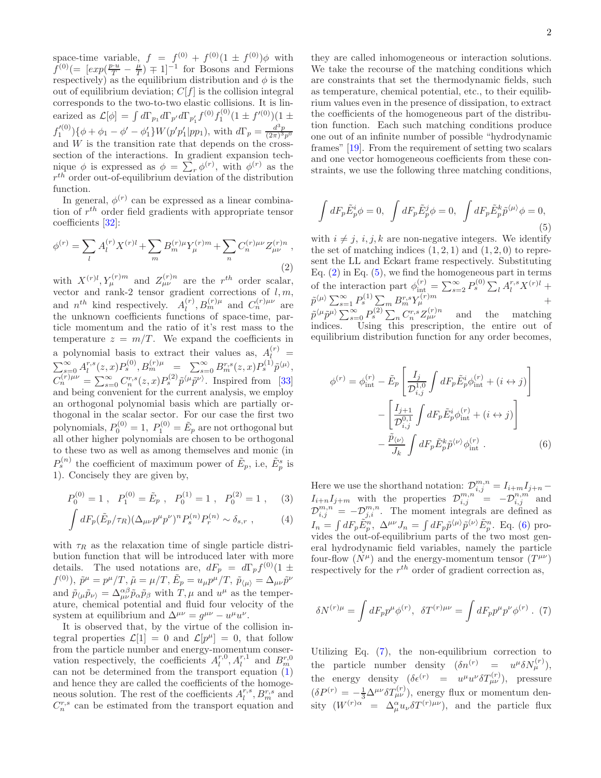space-time variable,  $f = f^{(0)} + f^{(0)}(1 \pm f^{(0)})\phi$  with  $f^{(0)}(=[exp(\frac{p\cdot u}{T}-\frac{\mu}{T})+1]^{-1}$  for Bosons and Fermions respectively) as the equilibrium distribution and  $\phi$  is the out of equilibrium deviation;  $C[f]$  is the collision integral corresponds to the two-to-two elastic collisions. It is linearized as  $\mathcal{L}[\phi] = \int d\Gamma_{p_1} d\Gamma_{p'} d\Gamma_{p'_1} f^{(0)} f_1^{(0)} (1 \pm f'^{(0)})(1 \pm$  $f_1^{(0)}\$  { $\phi + \phi_1 - \phi' - \phi_1'\} W(p'p_1'|pp_1)$ , with  $d\Gamma_p = \frac{d^3p}{(2\pi)^3p^0}$ and  $W$  is the transition rate that depends on the crosssection of the interactions. In gradient expansion technique  $\phi$  is expressed as  $\phi = \sum_r \phi^{(r)}$ , with  $\phi^{(r)}$  as the  $r^{th}$  order out-of-equilibrium deviation of the distribution function.

In general,  $\phi^{(r)}$  can be expressed as a linear combination of  $r^{th}$  order field gradients with appropriate tensor coefficients [\[32](#page-5-15)]:

<span id="page-1-0"></span>
$$
\phi^{(r)} = \sum_{l} A_{l}^{(r)} X^{(r)l} + \sum_{m} B_{m}^{(r)} \mu Y_{\mu}^{(r)m} + \sum_{n} C_{n}^{(r)} \mu \nu Z_{\mu\nu}^{(r)n} , \tag{2}
$$

with  $X^{(r)l}, Y_{\mu}^{(r)m}$  and  $Z_{\mu\nu}^{(r)n}$  are the r<sup>th</sup> order scalar, vector and rank-2 tensor gradient corrections of  $l, m$ , and  $n^{th}$  kind respectively.  $A_l^{(r)}$  $\binom{r}{l}, B_m^{(r)}{}^{\mu}$  and  $C_n^{(r)}{}^{\mu\nu}$  are the unknown coefficients functions of space-time, particle momentum and the ratio of it's rest mass to the temperature  $z = m/T$ . We expand the coefficients in a polynomial basis to extract their values as,  $A_l^{(r)} =$  $\sum_{s=0}^{\infty} A_l^{r,s}(z,x) P_s^{(0)}, B_m^{(r)\mu} = \sum_{s=0}^{\infty} B_m^{r,s}(z,x) P_s^{(1)} \tilde{p}^{\langle \mu \rangle},$  $C_n^{(r)\mu\nu} = \sum_{s=0}^{\infty} C_n^{r,s}(z,x) P_s^{(2)} \tilde{p}^{\langle \mu} \tilde{p}^{\nu \rangle}$ . Inspired from [\[33](#page-5-16)] and being convenient for the current analysis, we employ an orthogonal polynomial basis which are partially orthogonal in the scalar sector. For our case the first two polynomials,  $P_0^{(0)} = 1$ ,  $P_1^{(0)} = \tilde{E}_p$  are not orthogonal but all other higher polynomials are chosen to be orthogonal to these two as well as among themselves and monic (in  $P_s^{(n)}$  the coefficient of maximum power of  $\tilde{E}_p$ , i.e,  $\tilde{E}_p^s$  is 1). Concisely they are given by,

$$
P_0^{(0)} = 1
$$
,  $P_1^{(0)} = \tilde{E}_p$ ,  $P_0^{(1)} = 1$ ,  $P_0^{(2)} = 1$ , (3)

$$
\int dF_p (\tilde{E}_p/\tau_R) (\Delta_{\mu\nu} p^{\mu} p^{\nu})^n P_s^{(n)} P_r^{(n)} \sim \delta_{s,r} ,\qquad (4)
$$

with  $\tau_R$  as the relaxation time of single particle distribution function that will be introduced later with more details. The used notations are,  $dF_p = d\Gamma_p f^{(0)}(1 \pm$  $f^{(0)}$ ),  $\tilde{p}^{\mu} = p^{\mu}/T$ ,  $\tilde{\mu} = \mu/T$ ,  $\tilde{E}_p = u_{\mu}p^{\mu}/T$ ,  $\tilde{p}_{\langle \mu \rangle} = \Delta_{\mu\nu}\tilde{p}^{\nu}$ and  $\tilde{p}_{\langle\mu}\tilde{p}_{\nu\rangle} = \Delta^{\alpha\beta}_{\mu\nu}\tilde{p}_{\alpha}\tilde{p}_{\beta}$  with  $T, \mu$  and  $u^{\mu}$  as the temperature, chemical potential and fluid four velocity of the system at equilibrium and  $\Delta^{\mu\nu} = g^{\mu\nu} - u^{\mu}u^{\nu}$ .

It is observed that, by the virtue of the collision integral properties  $\mathcal{L}[1] = 0$  and  $\mathcal{L}[p^{\mu}] = 0$ , that follow from the particle number and energy-momentum conservation respectively, the coefficients  $A_l^{r,0}, A_l^{r,1}$  and  $B_m^{r,0}$ can not be determined from the transport equation [\(1\)](#page-0-3) and hence they are called the coefficients of the homogeneous solution. The rest of the coefficients  $A_l^{r,s}, B_m^{r,s}$  and  $C_n^{r,s}$  can be estimated from the transport equation and

they are called inhomogeneous or interaction solutions. We take the recourse of the matching conditions which are constraints that set the thermodynamic fields, such as temperature, chemical potential, etc., to their equilibrium values even in the presence of dissipation, to extract the coefficients of the homogeneous part of the distribution function. Each such matching conditions produce one out of an infinite number of possible "hydrodynamic frames" [\[19](#page-5-17)]. From the requirement of setting two scalars and one vector homogeneous coefficients from these constraints, we use the following three matching conditions,

<span id="page-1-1"></span>
$$
\int dF_p \tilde{E}_p^i \phi = 0, \quad \int dF_p \tilde{E}_p^j \phi = 0, \quad \int dF_p \tilde{E}_p^k \tilde{p}^{\langle \mu \rangle} \phi = 0,
$$
\n(5)

with  $i \neq j$ ,  $i, j, k$  are non-negative integers. We identify the set of matching indices  $(1, 2, 1)$  and  $(1, 2, 0)$  to represent the LL and Eckart frame respectively. Substituting Eq.  $(2)$  in Eq.  $(5)$ , we find the homogeneous part in terms of the interaction part  $\phi_{int}^{(r)} = \sum_{s=2}^{\infty} P_s^{(0)} \sum_l A_l^{r,s} X^{(r)l} +$  $\tilde{p}^{\langle \mu \rangle} \sum_{s=1}^{\infty} P_{s}^{(1)} \sum_{m} P_{m}^{r,s} Y_{\mu}^{(r)m}$  +  $\tilde{p}^{\langle \mu} \tilde{p}^{\mu \rangle} \sum_{s=0}^{\infty} P_s^{(2)} \sum_n C_n^{r,s} Z_{\mu\nu}^{(r)n}$  and the matching

indices. Using this prescription, the entire out of equilibrium distribution function for any order becomes,

<span id="page-1-2"></span>
$$
\phi^{(r)} = \phi_{\rm int}^{(r)} - \tilde{E}_p \left[ \frac{I_j}{\mathcal{D}_{i,j}^{1,0}} \int dF_p \tilde{E}_p^i \phi_{\rm int}^{(r)} + (i \leftrightarrow j) \right]
$$

$$
- \left[ \frac{I_{j+1}}{\mathcal{D}_{i,j}^{0,1}} \int dF_p \tilde{E}_p^i \phi_{\rm int}^{(r)} + (i \leftrightarrow j) \right]
$$

$$
- \frac{\tilde{p}_{\langle \nu \rangle}}{J_k} \int dF_p \tilde{E}_p^k \tilde{p}^{\langle \nu \rangle} \phi_{\rm int}^{(r)} . \tag{6}
$$

<span id="page-1-5"></span><span id="page-1-4"></span>Here we use the shorthand notation:  $\mathcal{D}_{i,j}^{m,n} = I_{i+m}I_{j+n}$  $I_{i+n}I_{j+m}$  with the properties  $\mathcal{D}_{i,j}^{m,n} = -\mathcal{D}_{i,j}^{n,m}$  and  $\mathcal{D}_{i,j}^{m,n} = -\mathcal{D}_{j,i}^{m,n}$ . The moment integrals are defined as  $I_n = \int dF_p \tilde{E}_p^n$ ,  $\Delta^{\mu\nu} J_n = \int dF_p \tilde{p}^{\langle \mu \rangle} \tilde{p}^{\langle \nu \rangle} \tilde{E}_p^n$ . Eq. [\(6\)](#page-1-2) provides the out-of-equilibrium parts of the two most general hydrodynamic field variables, namely the particle four-flow  $(N^{\mu})$  and the energy-momentum tensor  $(T^{\mu\nu})$ respectively for the  $r^{th}$  order of gradient correction as,

<span id="page-1-3"></span>
$$
\delta N^{(r)\mu} = \int dF_p p^{\mu} \phi^{(r)}, \quad \delta T^{(r)\mu\nu} = \int dF_p p^{\mu} p^{\nu} \phi^{(r)} . \tag{7}
$$

Utilizing Eq. [\(7\)](#page-1-3), the non-equilibrium correction to the particle number density  $(\delta n^{(r)} = u^{\mu} \delta N_{\mu}^{(r)})$ , the energy density  $(\delta \epsilon^{(r)} = u^{\mu} u^{\nu} \delta T^{(r)}_{\mu\nu}),$  pressure  $(\delta P^{(r)} = -\frac{1}{3} \Delta^{\mu\nu} \delta T^{(r)}_{\mu\nu}),$  energy flux or momentum density  $(W^{(r)\alpha} = \Delta^{\alpha}_{\mu} u_{\nu} \delta T^{(r)\mu\nu}),$  and the particle flux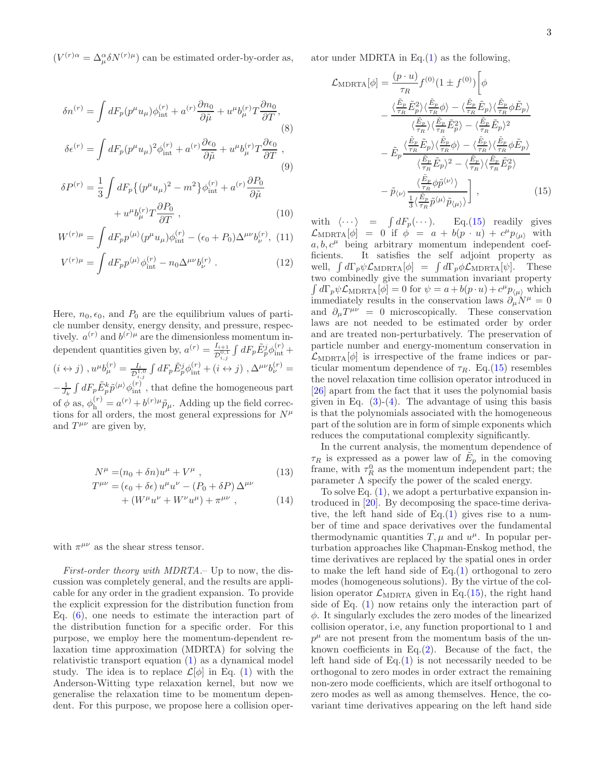$(V^{(r)\alpha} = \Delta^{\alpha}_{\mu} \delta N^{(r)\mu})$  can be estimated order-by-order as,

$$
\delta n^{(r)} = \int dF_p(p^{\mu}u_{\mu})\phi_{\rm int}^{(r)} + a^{(r)}\frac{\partial n_0}{\partial \tilde{\mu}} + u^{\mu}b_{\mu}^{(r)}T\frac{\partial n_0}{\partial T},
$$
\n
$$
\delta \epsilon^{(r)} = \int dF_p(p^{\mu}u_{\mu})^2 \phi_{\rm int}^{(r)} + a^{(r)}\frac{\partial \epsilon_0}{\partial \tilde{\mu}} + u^{\mu}b_{\mu}^{(r)}T\frac{\partial \epsilon_0}{\partial T},
$$
\n
$$
\delta P^{(r)} = \frac{1}{3} \int dF_p \{ (p^{\mu}u_{\mu})^2 - m^2 \} \phi_{\rm int}^{(r)} + a^{(r)}\frac{\partial P_0}{\partial \tilde{\mu}} + u^{\mu}b_{\mu}^{(r)}T\frac{\partial P_0}{\partial T},
$$
\n(10)

$$
W^{(r)\mu} = \int dF_p p^{\langle \mu \rangle} (p^{\mu} u_{\mu}) \phi_{\text{int}}^{(r)} - (\epsilon_0 + P_0) \Delta^{\mu \nu} b_{\nu}^{(r)}, (11)
$$

$$
V^{(r)\mu} = \int dF_p p^{\langle \mu \rangle} \phi_{\text{int}}^{(r)} - n_0 \Delta^{\mu\nu} b_{\nu}^{(r)} . \qquad (12)
$$

Here,  $n_0, \epsilon_0$ , and  $P_0$  are the equilibrium values of particle number density, energy density, and pressure, respectively.  $a^{(r)}$  and  $b^{(r)}$ <sup> $\mu$ </sup> are the dimensionless momentum independent quantities given by,  $a^{(r)} = \frac{I_{i+1}}{D^{0,1}}$  $\frac{I_{i+1}}{\mathcal{D}^{0,1}_{i,j}}\int dF_p \tilde{E}^j_p\phi^{(r)}_\text{int} +$  $(i \leftrightarrow j)$ ,  $u^{\mu}b_{\mu}^{(r)} = \frac{I_i}{\mathcal{D}^1}$  $\frac{I_i}{\mathcal{D}_{i,j}^{1,0}}\int dF_p \tilde{E}^j_p \phi_{\text{int}}^{(r)} + (i \leftrightarrow j)$  ,  $\Delta^{\mu\nu}b_{\nu}^{(r)} =$  $-\frac{1}{J_k}\int dF_p \tilde{E}^k_p \tilde{p}^{\langle \mu \rangle} \phi^{(r)}_\text{int}$ , that define the homogeneous part of  $\phi$  as,  $\phi_{h}^{(r)} = a^{(r)} + b^{(r)}\mu\tilde{p}_{\mu}$ . Adding up the field corrections for all orders, the most general expressions for  $N^{\mu}$ and  $T^{\mu\nu}$  are given by,

$$
N^{\mu} = (n_0 + \delta n)u^{\mu} + V^{\mu} , \qquad (13)
$$
  
\n
$$
T^{\mu\nu} = (\epsilon_0 + \delta \epsilon) u^{\mu} u^{\nu} - (P_0 + \delta P) \Delta^{\mu\nu} + (W^{\mu} u^{\nu} + W^{\nu} u^{\mu}) + \pi^{\mu\nu} , \qquad (14)
$$

with  $\pi^{\mu\nu}$  as the shear stress tensor.

First-order theory with MDRTA.– Up to now, the discussion was completely general, and the results are applicable for any order in the gradient expansion. To provide the explicit expression for the distribution function from Eq. [\(6\)](#page-1-2), one needs to estimate the interaction part of the distribution function for a specific order. For this purpose, we employ here the momentum-dependent relaxation time approximation (MDRTA) for solving the relativistic transport equation [\(1\)](#page-0-3) as a dynamical model study. The idea is to replace  $\mathcal{L}[\phi]$  in Eq. [\(1\)](#page-0-3) with the Anderson-Witting type relaxation kernel, but now we generalise the relaxation time to be momentum dependent. For this purpose, we propose here a collision operator under MDRTA in Eq. $(1)$  as the following,

<span id="page-2-1"></span>
$$
\mathcal{L}_{\text{MDRTA}}[\phi] = \frac{(p \cdot u)}{\tau_R} f^{(0)}(1 \pm f^{(0)}) \left[ \phi \right]
$$

$$
- \frac{\langle \frac{\tilde{E}_p}{\tau_R} \tilde{E}_p^2 \rangle \langle \frac{\tilde{E}_p}{\tau_R} \phi \rangle - \langle \frac{\tilde{E}_p}{\tau_R} \tilde{E}_p \rangle \langle \frac{\tilde{E}_p}{\tau_R} \phi \tilde{E}_p \rangle}{\langle \frac{\tilde{E}_p}{\tau_R} \rangle \langle \frac{\tilde{E}_p}{\tau_R} \tilde{E}_p^2 \rangle - \langle \frac{\tilde{E}_p}{\tau_R} \tilde{E}_p \rangle^2}
$$

$$
- \tilde{E}_p \frac{\langle \frac{\tilde{E}_p}{\tau_R} \tilde{E}_p \rangle \langle \frac{\tilde{E}_p}{\tau_R} \phi \rangle - \langle \frac{\tilde{E}_p}{\tau_R} \rangle \langle \frac{\tilde{E}_p}{\tau_R} \phi \tilde{E}_p \rangle}{\langle \frac{\tilde{E}_p}{\tau_R} \tilde{E}_p \rangle^2 - \langle \frac{\tilde{E}_p}{\tau_R} \rangle \langle \frac{\tilde{E}_p}{\tau_R} \tilde{E}_p^2 \rangle}
$$

$$
- \tilde{p}_{\langle \nu \rangle} \frac{\langle \frac{\tilde{E}_p}{\tau_R} \phi \tilde{p}_{\langle \nu \rangle} \rangle}{\frac{1}{3} \langle \frac{\tilde{E}_p}{\tau_R} \tilde{p}_{\langle \mu \rangle} \tilde{p}_{\langle \mu \rangle} \rangle} \right], \qquad (15)
$$

<span id="page-2-2"></span><span id="page-2-0"></span>with  $\langle \cdots \rangle$  =  $\int dF_p(\cdots)$ . Eq.[\(15\)](#page-2-0) readily gives  $\mathcal{L}_{\text{MDRTA}}[\phi] = 0$  if  $\phi = a + b(p \cdot u) + c^{\mu} p_{\langle \mu \rangle}$  with  $a, b, c^{\mu}$  being arbitrary momentum independent coefficients. It satisfies the self adjoint property as well,  $\int d\Gamma_p \psi \mathcal{L}_{\text{MDRTA}}[\phi] = \int d\Gamma_p \phi \mathcal{L}_{\text{MDRTA}}[\psi]$ . These two combinedly give the summation invariant property  $\int d\Gamma_p \psi \mathcal{L}_{\text{MDRTA}}[\phi] = 0$  for  $\psi = a + b(p \cdot u) + c^{\mu} p_{\langle \mu \rangle}$  which immediately results in the conservation laws  $\partial_{\mu}N^{\mu} = 0$ and  $\partial_{\mu}T^{\mu\nu} = 0$  microscopically. These conservation laws are not needed to be estimated order by order and are treated non-perturbatively. The preservation of particle number and energy-momentum conservation in  $\mathcal{L}_{\text{MDRTA}}[\phi]$  is irrespective of the frame indices or particular momentum dependence of  $\tau_R$ . Eq.[\(15\)](#page-2-0) resembles the novel relaxation time collision operator introduced in [\[26\]](#page-5-18) apart from the fact that it uses the polynomial basis given in Eq.  $(3)-(4)$  $(3)-(4)$ . The advantage of using this basis is that the polynomials associated with the homogeneous part of the solution are in form of simple exponents which reduces the computational complexity significantly.

<span id="page-2-3"></span>In the current analysis, the momentum dependence of  $\tau_R$  is expressed as a power law of  $\tilde{E}_p$  in the comoving frame, with  $\tau_R^0$  as the momentum independent part; the parameter  $\Lambda$  specify the power of the scaled energy.

<span id="page-2-4"></span>To solve Eq.  $(1)$ , we adopt a perturbative expansion introduced in [\[20\]](#page-5-9). By decomposing the space-time derivative, the left hand side of  $Eq.(1)$  $Eq.(1)$  gives rise to a number of time and space derivatives over the fundamental thermodynamic quantities  $T, \mu$  and  $u^{\mu}$ . In popular perturbation approaches like Chapman-Enskog method, the time derivatives are replaced by the spatial ones in order to make the left hand side of Eq.[\(1\)](#page-0-3) orthogonal to zero modes (homogeneous solutions). By the virtue of the collision operator  $\mathcal{L}_{\text{MDRTA}}$  given in Eq.[\(15\)](#page-2-0), the right hand side of Eq. [\(1\)](#page-0-3) now retains only the interaction part of  $\phi$ . It singularly excludes the zero modes of the linearized collision operator, i.e, any function proportional to 1 and  $p^{\mu}$  are not present from the momentum basis of the unknown coefficients in Eq. $(2)$ . Because of the fact, the left hand side of  $Eq.(1)$  $Eq.(1)$  is not necessarily needed to be orthogonal to zero modes in order extract the remaining non-zero mode coefficients, which are itself orthogonal to zero modes as well as among themselves. Hence, the covariant time derivatives appearing on the left hand side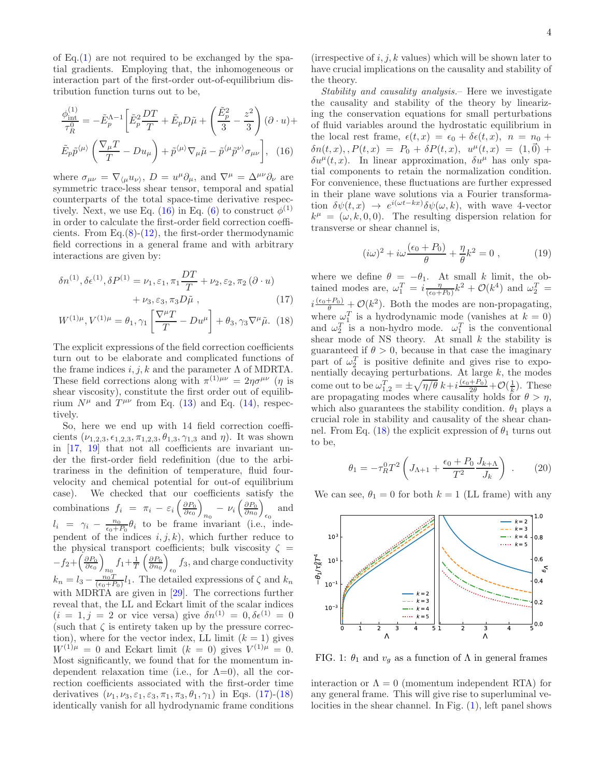of  $Eq.(1)$  $Eq.(1)$  are not required to be exchanged by the spatial gradients. Employing that, the inhomogeneous or interaction part of the first-order out-of-equilibrium distribution function turns out to be,

$$
\frac{\phi_{\text{int}}^{(1)}}{\tau_R^0} = -\tilde{E}_p^{\Lambda - 1} \left[ \tilde{E}_p^2 \frac{DT}{T} + \tilde{E}_p D\tilde{\mu} + \left( \frac{\tilde{E}_p^2}{3} - \frac{z^2}{3} \right) (\partial \cdot u) + \tilde{E}_p \tilde{p}^{\langle \mu \rangle} \left( \frac{\nabla_\mu T}{T} - Du_\mu \right) + \tilde{p}^{\langle \mu \rangle} \nabla_\mu \tilde{\mu} - \tilde{p}^{\langle \mu} \tilde{p}^{\nu \rangle} \sigma_{\mu \nu} \right], \quad (16)
$$

where  $\sigma_{\mu\nu} = \nabla_{\langle \mu} u_{\nu \rangle}, D = u^{\mu} \partial_{\mu}$ , and  $\nabla^{\mu} = \Delta^{\mu\nu} \partial_{\nu}$  are symmetric trace-less shear tensor, temporal and spatial counterparts of the total space-time derivative respec-tively. Next, we use Eq. [\(16\)](#page-3-0) in Eq. [\(6\)](#page-1-2) to construct  $\phi^{(1)}$ in order to calculate the first-order field correction coefficients. From Eq. $(8)-(12)$  $(8)-(12)$  $(8)-(12)$ , the first-order thermodynamic field corrections in a general frame and with arbitrary interactions are given by:

$$
\delta n^{(1)}, \delta \epsilon^{(1)}, \delta P^{(1)} = \nu_1, \varepsilon_1, \pi_1 \frac{DT}{T} + \nu_2, \varepsilon_2, \pi_2 (\partial \cdot u) + \nu_3, \varepsilon_3, \pi_3 D\tilde{\mu},
$$
\n(17)

$$
W^{(1)\mu}, V^{(1)\mu} = \theta_1, \gamma_1 \left[ \frac{\nabla^{\mu} T}{T} - Du^{\mu} \right] + \theta_3, \gamma_3 \nabla^{\mu} \tilde{\mu}. \tag{18}
$$

The explicit expressions of the field correction coefficients turn out to be elaborate and complicated functions of the frame indices  $i, j, k$  and the parameter  $\Lambda$  of MDRTA. These field corrections along with  $\pi^{(1)\mu\nu} = 2\eta \sigma^{\mu\nu}$  (*η* is shear viscosity), constitute the first order out of equilibrium  $N^{\mu}$  and  $T^{\mu\nu}$  from Eq. [\(13\)](#page-2-3) and Eq. [\(14\)](#page-2-4), respectively.

So, here we end up with 14 field correction coefficients  $(\nu_{1,2,3}, \epsilon_{1,2,3}, \pi_{1,2,3}, \theta_{1,3}, \gamma_{1,3} \text{ and } \eta)$ . It was shown in [\[17,](#page-5-19) [19](#page-5-17)] that not all coefficients are invariant under the first-order field redefinition (due to the arbitrariness in the definition of temperature, fluid fourvelocity and chemical potential for out-of equilibrium case). We checked that our coefficients satisfy the combinations  $f_i = \pi_i - \varepsilon_i \left( \frac{\partial P_0}{\partial \epsilon_0} \right)$  $n_0$  –  $\nu_i \left( \frac{\partial P_0}{\partial n_0} \right)$  $_{\epsilon_0}$  and  $l_i = \gamma_i - \frac{n_0}{\epsilon_0 + P_0} \theta_i$  to be frame invariant (i.e., independent of the indices  $i, j, k$ , which further reduce to the physical transport coefficients; bulk viscosity  $\zeta =$  $-f_2+\left(\frac{\partial P_0}{\partial \epsilon_0}\right)$  $f_1+\frac{1}{T}\left(\frac{\partial P_0}{\partial n_0}\right)$  $f_3$ , and charge conductivity  $k_n = l_3 - \frac{n_0 T}{(\epsilon_0 + P_0)} l_1$ . The detailed expressions of  $\zeta$  and  $k_n$ with MDRTA are given in [\[29](#page-5-20)]. The corrections further reveal that, the LL and Eckart limit of the scalar indices  $(i = 1, j = 2 \text{ or vice versa})$  give  $\delta n^{(1)} = 0, \delta \epsilon^{(1)} = 0$ (such that  $\zeta$  is entirety taken up by the pressure correction), where for the vector index, LL limit  $(k = 1)$  gives  $W^{(1)\mu} = 0$  and Eckart limit  $(k = 0)$  gives  $V^{(1)\mu} = 0$ . Most significantly, we found that for the momentum independent relaxation time (i.e., for  $\Lambda=0$ ), all the correction coefficients associated with the first-order time derivatives  $(\nu_1, \nu_3, \varepsilon_1, \varepsilon_3, \pi_1, \pi_3, \theta_1, \gamma_1)$  in Eqs. [\(17\)](#page-3-1)-[\(18\)](#page-3-2) identically vanish for all hydrodynamic frame conditions

(irrespective of  $i, j, k$  values) which will be shown later to have crucial implications on the causality and stability of the theory.

<span id="page-3-0"></span>Stability and causality analysis.– Here we investigate the causality and stability of the theory by linearizing the conservation equations for small perturbations of fluid variables around the hydrostatic equilibrium in the local rest frame,  $\epsilon(t, x) = \epsilon_0 + \delta \epsilon(t, x), \quad n = n_0 +$  $\delta n(t, x), P(t, x) = P_0 + \delta P(t, x), u^{\mu}(t, x) = (1, \vec{0}) +$  $\delta u^{\mu}(t, x)$ . In linear approximation,  $\delta u^{\mu}$  has only spatial components to retain the normalization condition. For convenience, these fluctuations are further expressed in their plane wave solutions via a Fourier transformation  $\delta \psi(t,x) \rightarrow e^{i(\omega t - kx)} \delta \psi(\omega, k)$ , with wave 4-vector  $k^{\mu} = (\omega, k, 0, 0)$ . The resulting dispersion relation for transverse or shear channel is,

$$
(\mathrm{i}\omega)^2 + \mathrm{i}\omega \frac{(\epsilon_0 + P_0)}{\theta} + \frac{\eta}{\theta} k^2 = 0 , \qquad (19)
$$

<span id="page-3-2"></span><span id="page-3-1"></span>where we define  $\theta = -\theta_1$ . At small k limit, the obtained modes are,  $\omega_1^T = i \frac{\eta}{(\epsilon_0 + P_0)} k^2 + \mathcal{O}(k^4)$  and  $\omega_2^T =$  $i\frac{(\epsilon_0+P_0)}{\theta} + \mathcal{O}(k^2)$ . Both the modes are non-propagating, where  $\omega_1^T$  is a hydrodynamic mode (vanishes at  $k = 0$ ) and  $\omega_2^T$  is a non-hydro mode.  $\omega_1^T$  is the conventional shear mode of NS theory. At small  $k$  the stability is guaranteed if  $\theta > 0$ , because in that case the imaginary part of  $\omega_2^T$  is positive definite and gives rise to exponentially decaying perturbations. At large  $k$ , the modes come out to be  $\omega_{1,2}^T = \pm \sqrt{\eta/\theta} k + i \frac{(\epsilon_0 + P_0)}{2\theta} + \mathcal{O}(\frac{1}{k})$ . These are propagating modes where causality holds for  $\theta > \eta$ , which also guarantees the stability condition.  $\theta_1$  plays a crucial role in stability and causality of the shear chan-nel. From Eq. [\(18\)](#page-3-2) the explicit expression of  $\theta_1$  turns out to be,

$$
\theta_1 = -\tau_R^0 T^2 \left( J_{\Lambda+1} + \frac{\epsilon_0 + P_0}{T^2} \frac{J_{k+\Lambda}}{J_k} \right) \ . \tag{20}
$$

<span id="page-3-3"></span>We can see,  $\theta_1 = 0$  for both  $k = 1$  (LL frame) with any



FIG. 1:  $\theta_1$  and  $v_q$  as a function of  $\Lambda$  in general frames

interaction or  $\Lambda = 0$  (momentum independent RTA) for any general frame. This will give rise to superluminal velocities in the shear channel. In Fig. [\(1\)](#page-3-3), left panel shows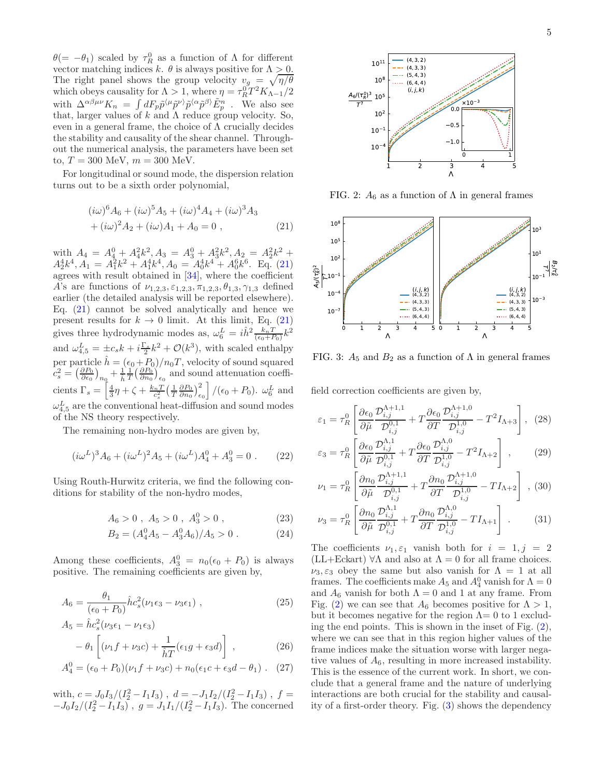$\theta$ (=  $-\theta_1$ ) scaled by  $\tau_R^0$  as a function of  $\Lambda$  for different vector matching indices k.  $\theta$  is always positive for  $\Lambda > 0$ . The right panel shows the group velocity  $v_g = \sqrt{\eta/\theta}$ which obeys causality for  $\Lambda > 1$ , where  $\eta = \tau_R^0 T^2 K_{\Lambda - 1} / 2$ with  $\Delta^{\alpha\beta\mu\nu}K_n = \int dF_p \tilde{p}^{\langle \mu} \tilde{p}^{\nu \rangle} \tilde{p}^{\langle \alpha} \tilde{p}^{\beta \rangle} \tilde{E}_p^n$ . We also see that, larger values of  $k$  and  $\Lambda$  reduce group velocity. So, even in a general frame, the choice of  $\Lambda$  crucially decides the stability and causality of the shear channel. Throughout the numerical analysis, the parameters have been set to,  $T = 300 \text{ MeV}, m = 300 \text{ MeV}.$ 

For longitudinal or sound mode, the dispersion relation turns out to be a sixth order polynomial,

$$
(i\omega)^{6} A_{6} + (i\omega)^{5} A_{5} + (i\omega)^{4} A_{4} + (i\omega)^{3} A_{3} + (i\omega)^{2} A_{2} + (i\omega) A_{1} + A_{0} = 0,
$$
 (21)

with  $A_4 = A_4^0 + A_4^2 k^2$ ,  $A_3 = A_3^0 + A_3^2 k^2$ ,  $A_2 = A_2^2 k^2 +$  $A_2^4 k^4$ ,  $A_1 = A_1^2 k^2 + A_1^4 k^4$ ,  $A_0 = A_0^4 k^4 + A_0^6 k^6$ . Eq. [\(21\)](#page-4-0) agrees with result obtained in [\[34\]](#page-5-21), where the coefficient A's are functions of  $\nu_{1,2,3}, \varepsilon_{1,2,3}, \pi_{1,2,3}, \theta_{1,3}, \gamma_{1,3}$  defined earlier (the detailed analysis will be reported elsewhere). Eq.  $(21)$  cannot be solved analytically and hence we present results for  $k \to 0$  limit. At this limit, Eq. [\(21\)](#page-4-0) gives three hydrodynamic modes as,  $\omega_6^L = i\hat{h}^2 \frac{k_n T}{(\epsilon_0 + P_0)} k^2$ and  $\omega_{4,5}^L = \pm c_s k + i \frac{\Gamma_s}{2} k^2 + \mathcal{O}(k^3)$ , with scaled enthalpy per particle  $\hat{h} = (\epsilon_0 + P_0)/n_0T$ , velocity of sound squared  $c_s^2 = \left(\frac{\partial P_0}{\partial \epsilon_0}\right)_{n_0} + \frac{1}{\hat{h}} \frac{1}{T} \left(\frac{\partial P_0}{\partial n_0}\right)_{\epsilon_0}$  and sound attenuation coefficients  $\Gamma_s = \left[\frac{4}{3}\eta + \zeta + \frac{k_nT}{c_s^2} \left(\frac{1}{T}\frac{\partial P_0}{\partial n_0}\right)_{\epsilon_0}^2\right] / (\epsilon_0 + P_0)$ .  $\omega_6^L$  and  $\omega_{4,5}^L$  are the conventional heat-diffusion and sound modes of the NS theory respectively.

The remaining non-hydro modes are given by,

$$
(i\omega^L)^3 A_6 + (i\omega^L)^2 A_5 + (i\omega^L)A_4^0 + A_3^0 = 0.
$$
 (22)

Using Routh-Hurwitz criteria, we find the following conditions for stability of the non-hydro modes,

$$
A_6 > 0 , A_5 > 0 , A_3^0 > 0 , \qquad (23)
$$

$$
B_2 = (A_4^0 A_5 - A_3^0 A_6)/A_5 > 0.
$$
 (24)

Among these coefficients,  $A_3^0 = n_0(\epsilon_0 + P_0)$  is always positive. The remaining coefficients are given by,

$$
A_6 = \frac{\theta_1}{(\epsilon_0 + P_0)} \hat{h} c_s^2 (\nu_1 \epsilon_3 - \nu_3 \epsilon_1) , \qquad (25)
$$

$$
A_5 = \hat{h}c_s^2(\nu_3 \epsilon_1 - \nu_1 \epsilon_3)
$$
  
- 
$$
\theta_1 \left[ (\nu_1 f + \nu_3 c) + \frac{1}{\hat{h}T} (\epsilon_1 g + \epsilon_3 d) \right],
$$
 (26)

$$
A_4^0 = (\epsilon_0 + P_0)(\nu_1 f + \nu_3 c) + n_0(\epsilon_1 c + \epsilon_3 d - \theta_1). \quad (27)
$$

with,  $c = J_0 I_3/(I_2^2 - I_1 I_3)$ ,  $d = -J_1 I_2/(I_2^2 - I_1 I_3)$ ,  $f =$  $-J_0I_2/(I_2^2-I_1I_3)$ ,  $g = J_1I_1/(I_2^2-I_1I_3)$ . The concerned

<span id="page-4-1"></span>

FIG. 2:  $A_6$  as a function of  $\Lambda$  in general frames

<span id="page-4-2"></span><span id="page-4-0"></span>

FIG. 3:  $A_5$  and  $B_2$  as a function of  $\Lambda$  in general frames

field correction coefficients are given by,

$$
\varepsilon_{1} = \tau_{R}^{0} \left[ \frac{\partial \epsilon_{0}}{\partial \tilde{\mu}} \frac{\mathcal{D}_{i,j}^{\Lambda+1,1}}{\mathcal{D}_{i,j}^{0,1}} + T \frac{\partial \epsilon_{0}}{\partial T} \frac{\mathcal{D}_{i,j}^{\Lambda+1,0}}{\mathcal{D}_{i,j}^{1,0}} - T^{2} I_{\Lambda+3} \right], (28)
$$

$$
\varepsilon_3 = \tau_R^0 \left[ \frac{\partial \epsilon_0}{\partial \tilde{\mu}} \frac{\mathcal{D}_{i,j}^{\Lambda,1}}{\mathcal{D}_{i,j}^{0,1}} + T \frac{\partial \epsilon_0}{\partial T} \frac{\mathcal{D}_{i,j}^{\Lambda,0}}{\mathcal{D}_{i,j}^{1,0}} - T^2 I_{\Lambda+2} \right] ,\qquad(29)
$$

$$
\nu_1 = \tau_R^0 \left[ \frac{\partial n_0}{\partial \tilde{\mu}} \frac{\mathcal{D}_{i,j}^{\Lambda+1,1}}{\mathcal{D}_{i,j}^{0,1}} + T \frac{\partial n_0}{\partial T} \frac{\mathcal{D}_{i,j}^{\Lambda+1,0}}{\mathcal{D}_{i,j}^{1,0}} - T I_{\Lambda+2} \right], (30)
$$

$$
\nu_3 = \tau_R^0 \left[ \frac{\partial n_0}{\partial \tilde{\mu}} \frac{\mathcal{D}_{i,j}^{\Lambda,1}}{\mathcal{D}_{i,j}^{0,1}} + T \frac{\partial n_0}{\partial T} \frac{\mathcal{D}_{i,j}^{\Lambda,0}}{\mathcal{D}_{i,j}^{1,0}} - T I_{\Lambda+1} \right] \ . \tag{31}
$$

The coefficients  $\nu_1, \varepsilon_1$  vanish both for  $i = 1, j = 2$  $(LL+Eckart) \forall \Lambda$  and also at  $\Lambda = 0$  for all frame choices.  $\nu_3, \varepsilon_3$  obey the same but also vanish for  $\Lambda = 1$  at all frames. The coefficients make  $A_5$  and  $A_4^0$  vanish for  $\Lambda = 0$ and  $A_6$  vanish for both  $\Lambda = 0$  and 1 at any frame. From Fig. [\(2\)](#page-4-1) we can see that  $A_6$  becomes positive for  $\Lambda > 1$ , but it becomes negative for the region  $\Lambda = 0$  to 1 excluding the end points. This is shown in the inset of Fig. [\(2\)](#page-4-1), where we can see that in this region higher values of the frame indices make the situation worse with larger negative values of  $A_6$ , resulting in more increased instability. This is the essence of the current work. In short, we conclude that a general frame and the nature of underlying interactions are both crucial for the stability and causality of a first-order theory. Fig. [\(3\)](#page-4-2) shows the dependency